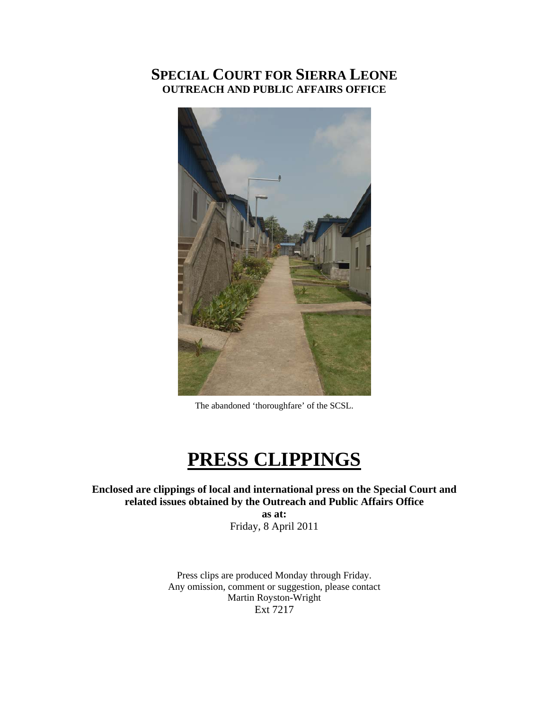# **SPECIAL COURT FOR SIERRA LEONE OUTREACH AND PUBLIC AFFAIRS OFFICE**



The abandoned 'thoroughfare' of the SCSL.

# **PRESS CLIPPINGS**

**Enclosed are clippings of local and international press on the Special Court and related issues obtained by the Outreach and Public Affairs Office** 

**as at:**  Friday, 8 April 2011

Press clips are produced Monday through Friday. Any omission, comment or suggestion, please contact Martin Royston-Wright Ext 7217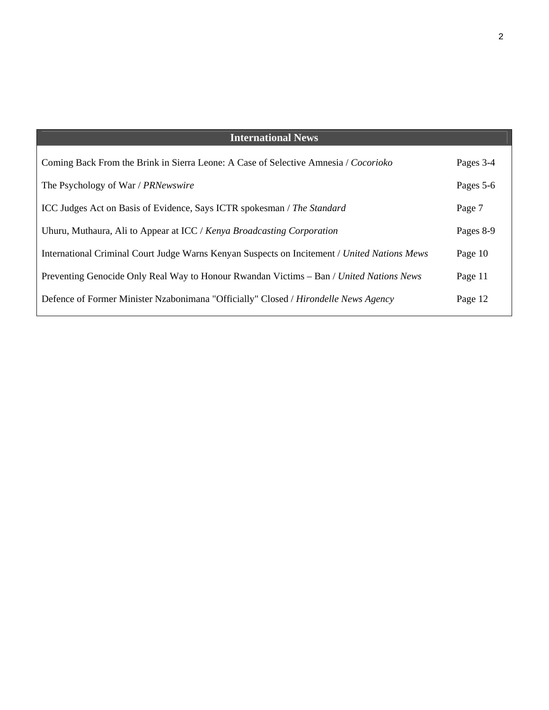| <b>International News</b>                                                                    |           |
|----------------------------------------------------------------------------------------------|-----------|
| Coming Back From the Brink in Sierra Leone: A Case of Selective Amnesia / Cocorioko          | Pages 3-4 |
| The Psychology of War / PRNewswire                                                           | Pages 5-6 |
| ICC Judges Act on Basis of Evidence, Says ICTR spokesman / The Standard                      | Page 7    |
| Uhuru, Muthaura, Ali to Appear at ICC / Kenya Broadcasting Corporation                       | Pages 8-9 |
| International Criminal Court Judge Warns Kenyan Suspects on Incitement / United Nations Mews | Page 10   |
| Preventing Genocide Only Real Way to Honour Rwandan Victims – Ban / United Nations News      | Page 11   |
| Defence of Former Minister Nzabonimana "Officially" Closed / Hirondelle News Agency          | Page 12   |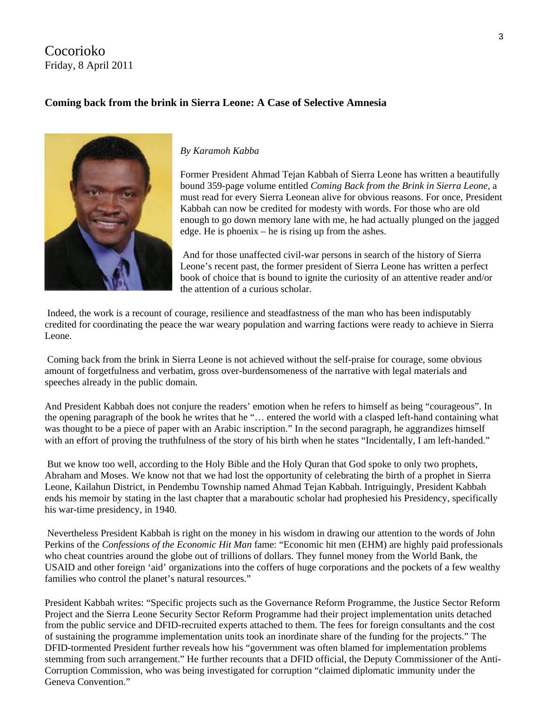## Cocorioko Friday, 8 April 2011

## **Coming back from the brink in Sierra Leone: A Case of Selective Amnesia**



#### *By Karamoh Kabba*

Former President Ahmad Tejan Kabbah of Sierra Leone has written a beautifully bound 359-page volume entitled *Coming Back from the Brink in Sierra Leone*, a must read for every Sierra Leonean alive for obvious reasons. For once, President Kabbah can now be credited for modesty with words. For those who are old enough to go down memory lane with me, he had actually plunged on the jagged edge. He is phoenix – he is rising up from the ashes.

 And for those unaffected civil-war persons in search of the history of Sierra Leone's recent past, the former president of Sierra Leone has written a perfect book of choice that is bound to ignite the curiosity of an attentive reader and/or the attention of a curious scholar.

 Indeed, the work is a recount of courage, resilience and steadfastness of the man who has been indisputably credited for coordinating the peace the war weary population and warring factions were ready to achieve in Sierra Leone.

 Coming back from the brink in Sierra Leone is not achieved without the self-praise for courage, some obvious amount of forgetfulness and verbatim, gross over-burdensomeness of the narrative with legal materials and speeches already in the public domain.

And President Kabbah does not conjure the readers' emotion when he refers to himself as being "courageous". In the opening paragraph of the book he writes that he "… entered the world with a clasped left-hand containing what was thought to be a piece of paper with an Arabic inscription." In the second paragraph, he aggrandizes himself with an effort of proving the truthfulness of the story of his birth when he states "Incidentally, I am left-handed."

 But we know too well, according to the Holy Bible and the Holy Quran that God spoke to only two prophets, Abraham and Moses. We know not that we had lost the opportunity of celebrating the birth of a prophet in Sierra Leone, Kailahun District, in Pendembu Township named Ahmad Tejan Kabbah. Intriguingly, President Kabbah ends his memoir by stating in the last chapter that a maraboutic scholar had prophesied his Presidency, specifically his war-time presidency, in 1940.

 Nevertheless President Kabbah is right on the money in his wisdom in drawing our attention to the words of John Perkins of the *Confessions of the Economic Hit Man* fame: "Economic hit men (EHM) are highly paid professionals who cheat countries around the globe out of trillions of dollars. They funnel money from the World Bank, the USAID and other foreign 'aid' organizations into the coffers of huge corporations and the pockets of a few wealthy families who control the planet's natural resources."

President Kabbah writes: "Specific projects such as the Governance Reform Programme, the Justice Sector Reform Project and the Sierra Leone Security Sector Reform Programme had their project implementation units detached from the public service and DFID-recruited experts attached to them. The fees for foreign consultants and the cost of sustaining the programme implementation units took an inordinate share of the funding for the projects." The DFID-tormented President further reveals how his "government was often blamed for implementation problems stemming from such arrangement." He further recounts that a DFID official, the Deputy Commissioner of the Anti-Corruption Commission, who was being investigated for corruption "claimed diplomatic immunity under the Geneva Convention."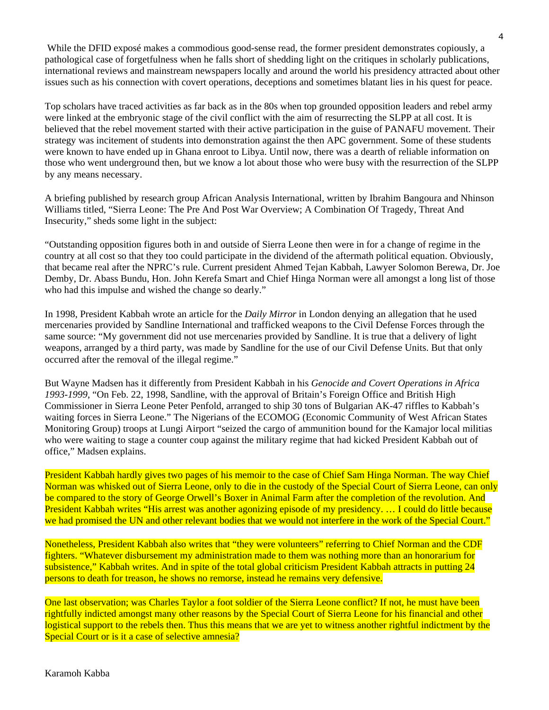While the DFID exposé makes a commodious good-sense read, the former president demonstrates copiously, a pathological case of forgetfulness when he falls short of shedding light on the critiques in scholarly publications, international reviews and mainstream newspapers locally and around the world his presidency attracted about other issues such as his connection with covert operations, deceptions and sometimes blatant lies in his quest for peace.

Top scholars have traced activities as far back as in the 80s when top grounded opposition leaders and rebel army were linked at the embryonic stage of the civil conflict with the aim of resurrecting the SLPP at all cost. It is believed that the rebel movement started with their active participation in the guise of PANAFU movement. Their strategy was incitement of students into demonstration against the then APC government. Some of these students were known to have ended up in Ghana enroot to Libya. Until now, there was a dearth of reliable information on those who went underground then, but we know a lot about those who were busy with the resurrection of the SLPP by any means necessary.

A briefing published by research group African Analysis International, written by Ibrahim Bangoura and Nhinson Williams titled, "Sierra Leone: The Pre And Post War Overview; A Combination Of Tragedy, Threat And Insecurity," sheds some light in the subject:

"Outstanding opposition figures both in and outside of Sierra Leone then were in for a change of regime in the country at all cost so that they too could participate in the dividend of the aftermath political equation. Obviously, that became real after the NPRC's rule. Current president Ahmed Tejan Kabbah, Lawyer Solomon Berewa, Dr. Joe Demby, Dr. Abass Bundu, Hon. John Kerefa Smart and Chief Hinga Norman were all amongst a long list of those who had this impulse and wished the change so dearly."

In 1998, President Kabbah wrote an article for the *Daily Mirror* in London denying an allegation that he used mercenaries provided by Sandline International and trafficked weapons to the Civil Defense Forces through the same source: "My government did not use mercenaries provided by Sandline. It is true that a delivery of light weapons, arranged by a third party, was made by Sandline for the use of our Civil Defense Units. But that only occurred after the removal of the illegal regime."

But Wayne Madsen has it differently from President Kabbah in his *Genocide and Covert Operations in Africa 1993-1999*, "On Feb. 22, 1998, Sandline, with the approval of Britain's Foreign Office and British High Commissioner in Sierra Leone Peter Penfold, arranged to ship 30 tons of Bulgarian AK-47 riffles to Kabbah's waiting forces in Sierra Leone." The Nigerians of the ECOMOG (Economic Community of West African States Monitoring Group) troops at Lungi Airport "seized the cargo of ammunition bound for the Kamajor local militias who were waiting to stage a counter coup against the military regime that had kicked President Kabbah out of office," Madsen explains.

President Kabbah hardly gives two pages of his memoir to the case of Chief Sam Hinga Norman. The way Chief Norman was whisked out of Sierra Leone, only to die in the custody of the Special Court of Sierra Leone, can only be compared to the story of George Orwell's Boxer in Animal Farm after the completion of the revolution. And President Kabbah writes "His arrest was another agonizing episode of my presidency. … I could do little because we had promised the UN and other relevant bodies that we would not interfere in the work of the Special Court."

Nonetheless, President Kabbah also writes that "they were volunteers" referring to Chief Norman and the CDF fighters. "Whatever disbursement my administration made to them was nothing more than an honorarium for subsistence," Kabbah writes. And in spite of the total global criticism President Kabbah attracts in putting 24 persons to death for treason, he shows no remorse, instead he remains very defensive.

One last observation; was Charles Taylor a foot soldier of the Sierra Leone conflict? If not, he must have been rightfully indicted amongst many other reasons by the Special Court of Sierra Leone for his financial and other logistical support to the rebels then. Thus this means that we are yet to witness another rightful indictment by the Special Court or is it a case of selective amnesia?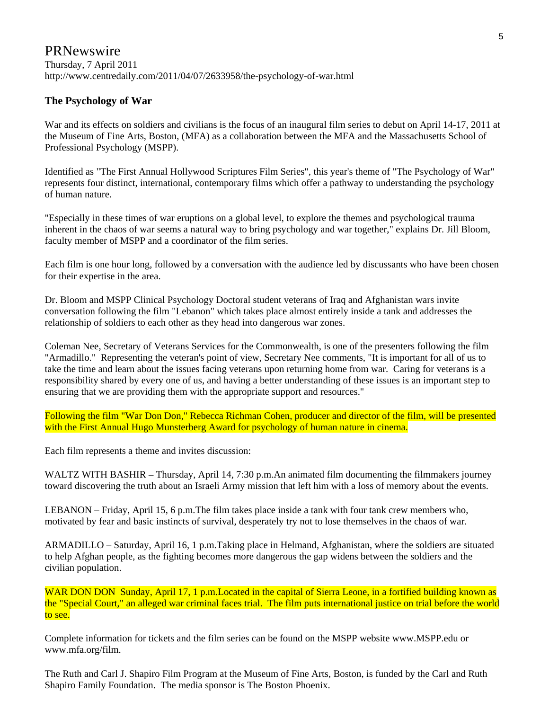# **PRNewswire**

#### Thursday, 7 April 2011 http://www.centredaily.com/2011/04/07/2633958/the-psychology-of-war.html

#### **The Psychology of War**

War and its effects on soldiers and civilians is the focus of an inaugural film series to debut on April 14-17, 2011 at the Museum of Fine Arts, Boston, (MFA) as a collaboration between the MFA and the Massachusetts School of Professional Psychology (MSPP).

Identified as "The First Annual Hollywood Scriptures Film Series", this year's theme of "The Psychology of War" represents four distinct, international, contemporary films which offer a pathway to understanding the psychology of human nature.

"Especially in these times of war eruptions on a global level, to explore the themes and psychological trauma inherent in the chaos of war seems a natural way to bring psychology and war together," explains Dr. Jill Bloom, faculty member of MSPP and a coordinator of the film series.

Each film is one hour long, followed by a conversation with the audience led by discussants who have been chosen for their expertise in the area.

Dr. Bloom and MSPP Clinical Psychology Doctoral student veterans of Iraq and Afghanistan wars invite conversation following the film "Lebanon" which takes place almost entirely inside a tank and addresses the relationship of soldiers to each other as they head into dangerous war zones.

Coleman Nee, Secretary of Veterans Services for the Commonwealth, is one of the presenters following the film "Armadillo." Representing the veteran's point of view, Secretary Nee comments, "It is important for all of us to take the time and learn about the issues facing veterans upon returning home from war. Caring for veterans is a responsibility shared by every one of us, and having a better understanding of these issues is an important step to ensuring that we are providing them with the appropriate support and resources."

Following the film "War Don Don," Rebecca Richman Cohen, producer and director of the film, will be presented with the First Annual Hugo Munsterberg Award for psychology of human nature in cinema.

Each film represents a theme and invites discussion:

WALTZ WITH BASHIR – Thursday, April 14, 7:30 p.m.An animated film documenting the filmmakers journey toward discovering the truth about an Israeli Army mission that left him with a loss of memory about the events.

LEBANON – Friday, April 15, 6 p.m.The film takes place inside a tank with four tank crew members who, motivated by fear and basic instincts of survival, desperately try not to lose themselves in the chaos of war.

ARMADILLO – Saturday, April 16, 1 p.m.Taking place in Helmand, Afghanistan, where the soldiers are situated to help Afghan people, as the fighting becomes more dangerous the gap widens between the soldiers and the civilian population.

WAR DON DON Sunday, April 17, 1 p.m. Located in the capital of Sierra Leone, in a fortified building known as the "Special Court," an alleged war criminal faces trial. The film puts international justice on trial before the world to see.

Complete information for tickets and the film series can be found on the MSPP website www.MSPP.edu or www.mfa.org/film.

The Ruth and Carl J. Shapiro Film Program at the Museum of Fine Arts, Boston, is funded by the Carl and Ruth Shapiro Family Foundation. The media sponsor is The Boston Phoenix.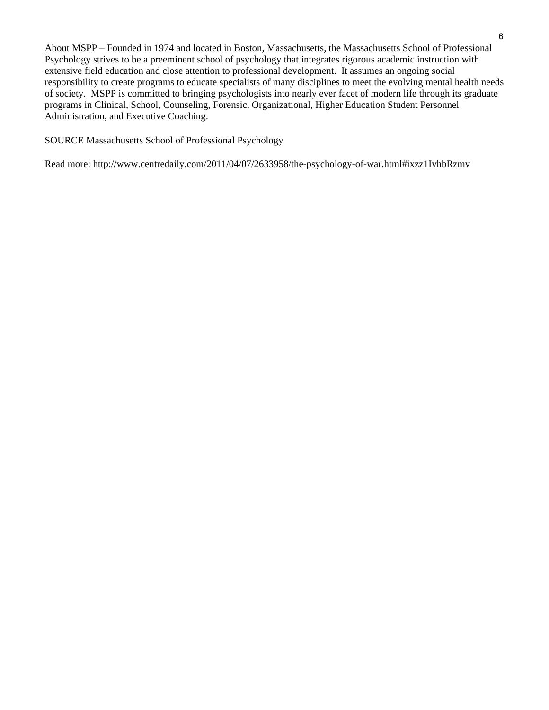About MSPP – Founded in 1974 and located in Boston, Massachusetts, the Massachusetts School of Professional Psychology strives to be a preeminent school of psychology that integrates rigorous academic instruction with extensive field education and close attention to professional development. It assumes an ongoing social responsibility to create programs to educate specialists of many disciplines to meet the evolving mental health needs of society. MSPP is committed to bringing psychologists into nearly ever facet of modern life through its graduate programs in Clinical, School, Counseling, Forensic, Organizational, Higher Education Student Personnel Administration, and Executive Coaching.

SOURCE Massachusetts School of Professional Psychology

Read more: http://www.centredaily.com/2011/04/07/2633958/the-psychology-of-war.html#ixzz1IvhbRzmv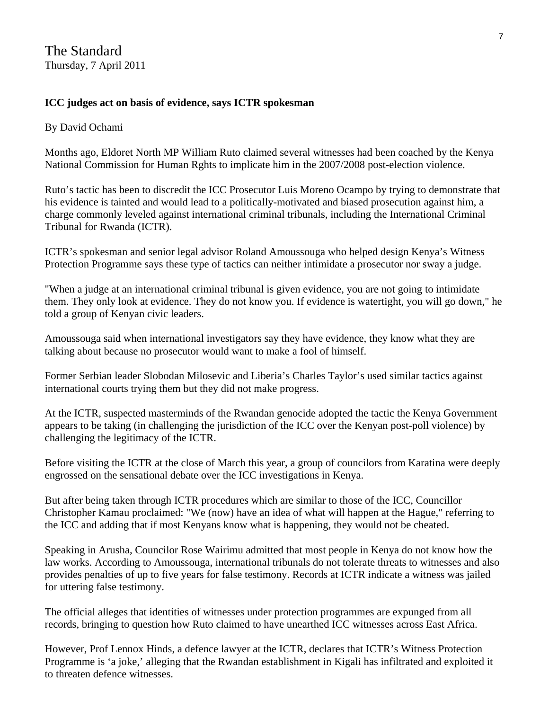## **ICC judges act on basis of evidence, says ICTR spokesman**

#### By David Ochami

Months ago, Eldoret North MP William Ruto claimed several witnesses had been coached by the Kenya National Commission for Human Rghts to implicate him in the 2007/2008 post-election violence.

Ruto's tactic has been to discredit the ICC Prosecutor Luis Moreno Ocampo by trying to demonstrate that his evidence is tainted and would lead to a politically-motivated and biased prosecution against him, a charge commonly leveled against international criminal tribunals, including the International Criminal Tribunal for Rwanda (ICTR).

ICTR's spokesman and senior legal advisor Roland Amoussouga who helped design Kenya's Witness Protection Programme says these type of tactics can neither intimidate a prosecutor nor sway a judge.

"When a judge at an international criminal tribunal is given evidence, you are not going to intimidate them. They only look at evidence. They do not know you. If evidence is watertight, you will go down," he told a group of Kenyan civic leaders.

Amoussouga said when international investigators say they have evidence, they know what they are talking about because no prosecutor would want to make a fool of himself.

Former Serbian leader Slobodan Milosevic and Liberia's Charles Taylor's used similar tactics against international courts trying them but they did not make progress.

At the ICTR, suspected masterminds of the Rwandan genocide adopted the tactic the Kenya Government appears to be taking (in challenging the jurisdiction of the ICC over the Kenyan post-poll violence) by challenging the legitimacy of the ICTR.

Before visiting the ICTR at the close of March this year, a group of councilors from Karatina were deeply engrossed on the sensational debate over the ICC investigations in Kenya.

But after being taken through ICTR procedures which are similar to those of the ICC, Councillor Christopher Kamau proclaimed: "We (now) have an idea of what will happen at the Hague," referring to the ICC and adding that if most Kenyans know what is happening, they would not be cheated.

Speaking in Arusha, Councilor Rose Wairimu admitted that most people in Kenya do not know how the law works. According to Amoussouga, international tribunals do not tolerate threats to witnesses and also provides penalties of up to five years for false testimony. Records at ICTR indicate a witness was jailed for uttering false testimony.

The official alleges that identities of witnesses under protection programmes are expunged from all records, bringing to question how Ruto claimed to have unearthed ICC witnesses across East Africa.

However, Prof Lennox Hinds, a defence lawyer at the ICTR, declares that ICTR's Witness Protection Programme is 'a joke,' alleging that the Rwandan establishment in Kigali has infiltrated and exploited it to threaten defence witnesses.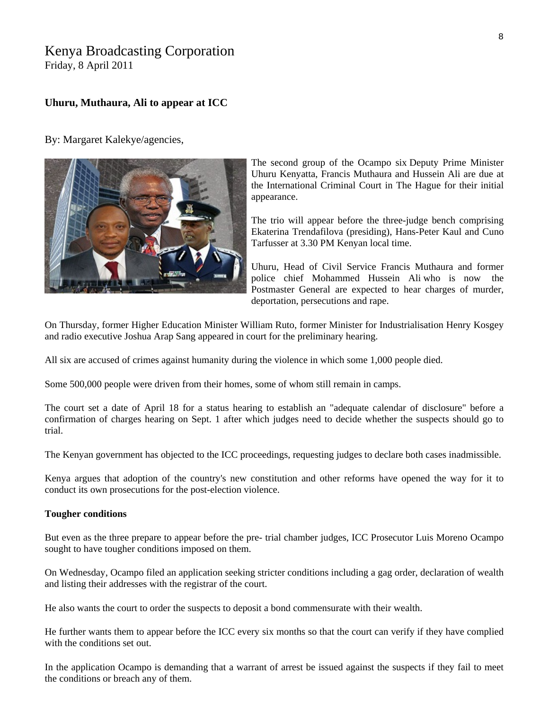# Kenya Broadcasting Corporation

Friday, 8 April 2011

#### **Uhuru, Muthaura, Ali to appear at ICC**

By: Margaret Kalekye/agencies,



The second group of the Ocampo six Deputy Prime Minister Uhuru Kenyatta, Francis Muthaura and Hussein Ali are due at the International Criminal Court in The Hague for their initial appearance.

The trio will appear before the three-judge bench comprising Ekaterina Trendafilova (presiding), Hans-Peter Kaul and Cuno Tarfusser at 3.30 PM Kenyan local time.

Uhuru, Head of Civil Service Francis Muthaura and former police chief Mohammed Hussein Ali who is now the Postmaster General are expected to hear charges of murder, deportation, persecutions and rape.

On Thursday, former Higher Education Minister William Ruto, former Minister for Industrialisation Henry Kosgey and radio executive Joshua Arap Sang appeared in court for the preliminary hearing.

All six are accused of crimes against humanity during the violence in which some 1,000 people died.

Some 500,000 people were driven from their homes, some of whom still remain in camps.

The court set a date of April 18 for a status hearing to establish an "adequate calendar of disclosure" before a confirmation of charges hearing on Sept. 1 after which judges need to decide whether the suspects should go to trial.

The Kenyan government has objected to the ICC proceedings, requesting judges to declare both cases inadmissible.

Kenya argues that adoption of the country's new constitution and other reforms have opened the way for it to conduct its own prosecutions for the post-election violence.

#### **Tougher conditions**

But even as the three prepare to appear before the pre- trial chamber judges, ICC Prosecutor Luis Moreno Ocampo sought to have tougher conditions imposed on them.

On Wednesday, Ocampo filed an application seeking stricter conditions including a gag order, declaration of wealth and listing their addresses with the registrar of the court.

He also wants the court to order the suspects to deposit a bond commensurate with their wealth.

He further wants them to appear before the ICC every six months so that the court can verify if they have complied with the conditions set out.

In the application Ocampo is demanding that a warrant of arrest be issued against the suspects if they fail to meet the conditions or breach any of them.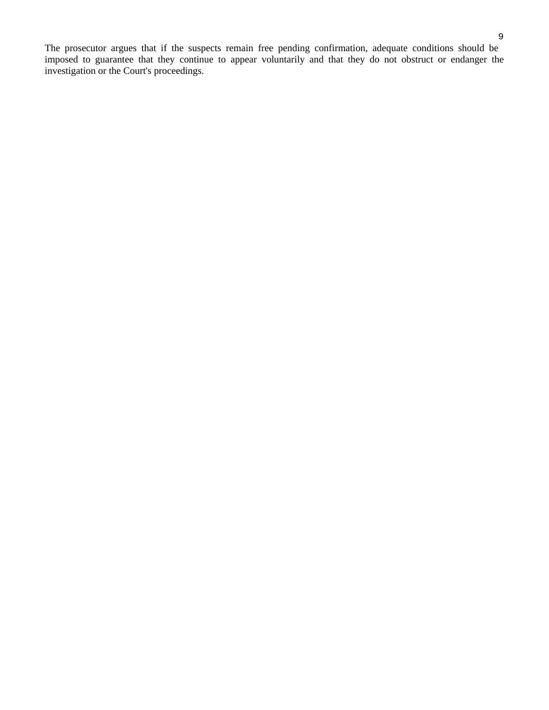The prosecutor argues that if the suspects remain free pending confirmation, adequate conditions should be imposed to guarantee that they continue to appear voluntarily and that they do not obstruct or endanger the investigation or the Court's proceedings.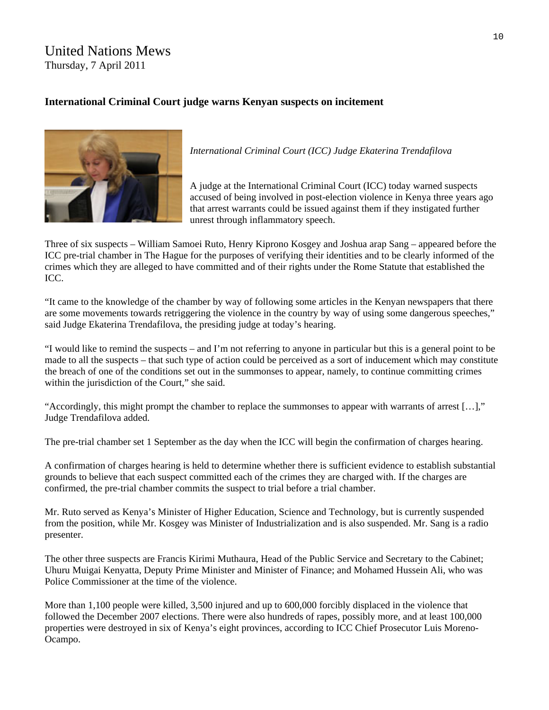## United Nations Mews Thursday, 7 April 2011

## **International Criminal Court judge warns Kenyan suspects on incitement**



*International Criminal Court (ICC) Judge Ekaterina Trendafilova* 

A judge at the International Criminal Court (ICC) today warned suspects accused of being involved in post-election violence in Kenya three years ago that arrest warrants could be issued against them if they instigated further unrest through inflammatory speech.

Three of six suspects – William Samoei Ruto, Henry Kiprono Kosgey and Joshua arap Sang – [appeared](http://www.icc-cpi.int/NR/exeres/F5ADDE2B-A126-4A58-AA76-BC3F9F42A897.htm) before the ICC pre-trial chamber in The Hague for the purposes of verifying their identities and to be clearly informed of the crimes which they are alleged to have committed and of their rights under the Rome Statute that established the ICC.

"It came to the knowledge of the chamber by way of following some articles in the Kenyan newspapers that there are some movements towards retriggering the violence in the country by way of using some dangerous speeches," said Judge Ekaterina Trendafilova, the presiding judge at today's hearing.

"I would like to remind the suspects – and I'm not referring to anyone in particular but this is a general point to be made to all the suspects – that such type of action could be perceived as a sort of inducement which may constitute the breach of one of the conditions set out in the summonses to appear, namely, to continue committing crimes within the jurisdiction of the Court," she said.

"Accordingly, this might prompt the chamber to replace the summonses to appear with warrants of arrest […]," Judge Trendafilova added.

The pre-trial chamber set 1 September as the day when the ICC will begin the confirmation of charges hearing.

A confirmation of charges hearing is held to determine whether there is sufficient evidence to establish substantial grounds to believe that each suspect committed each of the crimes they are charged with. If the charges are confirmed, the pre-trial chamber commits the suspect to trial before a trial chamber.

Mr. Ruto served as Kenya's Minister of Higher Education, Science and Technology, but is currently suspended from the position, while Mr. Kosgey was Minister of Industrialization and is also suspended. Mr. Sang is a radio presenter.

The other three suspects are Francis Kirimi Muthaura, Head of the Public Service and Secretary to the Cabinet; Uhuru Muigai Kenyatta, Deputy Prime Minister and Minister of Finance; and Mohamed Hussein Ali, who was Police Commissioner at the time of the violence.

More than 1,100 people were killed, 3,500 injured and up to 600,000 forcibly displaced in the violence that followed the December 2007 elections. There were also hundreds of rapes, possibly more, and at least 100,000 properties were destroyed in six of Kenya's eight provinces, according to ICC Chief Prosecutor Luis Moreno-Ocampo.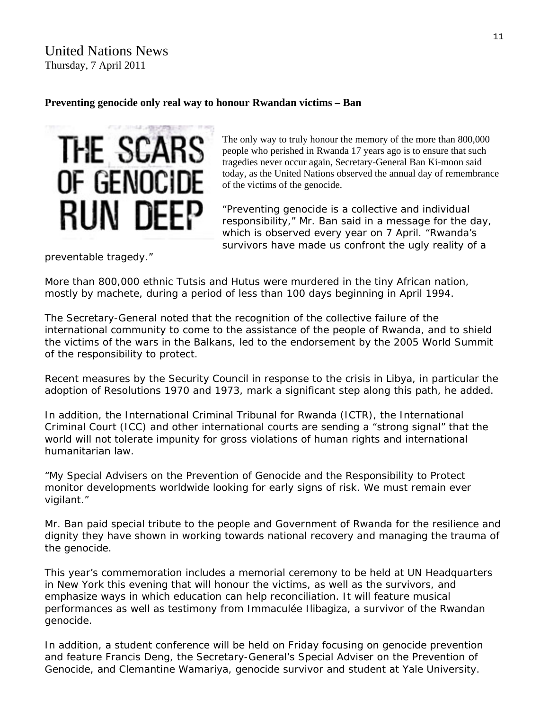United Nations News Thursday, 7 April 2011

#### **Preventing genocide only real way to honour Rwandan victims – Ban**



The only way to truly honour the memory of the more than 800,000 people who perished in Rwanda 17 years ago is to ensure that such tragedies never occur again, [Secretary-General](http://www.un.org/sg/) Ban Ki-moon said today, as the United Nations observed the annual day of remembrance of the victims of the genocide.

"Preventing genocide is a collective and individual responsibility," Mr. Ban said in a [message](http://www.un.org/preventgenocide/rwanda/sg_message_2011.shtml) for the day, which is observed every year on 7 April. "Rwanda's survivors have made us confront the ugly reality of a

preventable tragedy."

More than 800,000 ethnic Tutsis and Hutus were murdered in the tiny African nation, mostly by machete, during a period of less than 100 days beginning in April 1994.

The Secretary-General noted that the recognition of the collective failure of the international community to come to the assistance of the people of Rwanda, and to shield the victims of the wars in the Balkans, led to the endorsement by the 2005 World Summit of the responsibility to protect.

Recent measures by the Security Council in response to the crisis in Libya, in particular the adoption of Resolutions 1970 and 1973, mark a significant step along this path, he added.

In addition, the International Criminal Tribunal for Rwanda (ICTR), the International Criminal Court (ICC) and other international courts are sending a "strong signal" that the world will not tolerate impunity for gross violations of human rights and international humanitarian law.

"My Special Advisers on the Prevention of Genocide and the Responsibility to Protect monitor developments worldwide looking for early signs of risk. We must remain ever vigilant."

Mr. Ban paid special tribute to the people and Government of Rwanda for the resilience and dignity they have shown in working towards national recovery and managing the trauma of the genocide.

This year's commemoration includes a memorial ceremony to be held at UN Headquarters in New York this evening that will honour the victims, as well as the survivors, and emphasize ways in which education can help reconciliation. It will feature musical performances as well as testimony from Immaculée Ilibagiza, a survivor of the Rwandan genocide.

In addition, a student conference will be held on Friday focusing on genocide prevention and feature Francis Deng, the Secretary-General's Special Adviser on the Prevention of Genocide, and Clemantine Wamariya, genocide survivor and student at Yale University.